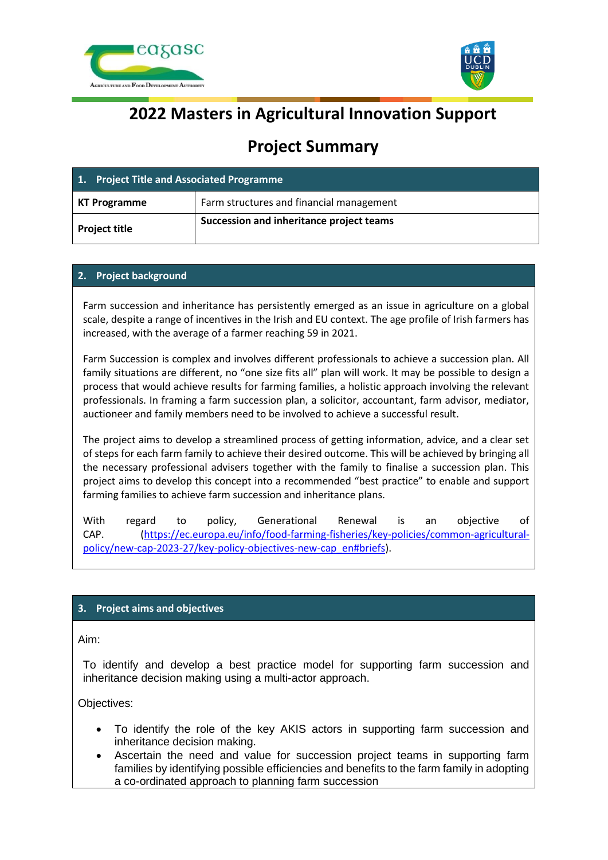



# **2022 Masters in Agricultural Innovation Support**

# **Project Summary**

| 1. Project Title and Associated Programme |                                          |
|-------------------------------------------|------------------------------------------|
| KT Programme                              | Farm structures and financial management |
| <b>Project title</b>                      | Succession and inheritance project teams |

## **2. Project background**

Farm succession and inheritance has persistently emerged as an issue in agriculture on a global scale, despite a range of incentives in the Irish and EU context. The age profile of Irish farmers has increased, with the average of a farmer reaching 59 in 2021.

Farm Succession is complex and involves different professionals to achieve a succession plan. All family situations are different, no "one size fits all" plan will work. It may be possible to design a process that would achieve results for farming families, a holistic approach involving the relevant professionals. In framing a farm succession plan, a solicitor, accountant, farm advisor, mediator, auctioneer and family members need to be involved to achieve a successful result.

The project aims to develop a streamlined process of getting information, advice, and a clear set of steps for each farm family to achieve their desired outcome. This will be achieved by bringing all the necessary professional advisers together with the family to finalise a succession plan. This project aims to develop this concept into a recommended "best practice" to enable and support farming families to achieve farm succession and inheritance plans.

With regard to policy, Generational Renewal is an objective of CAP. [\(https://ec.europa.eu/info/food-farming-fisheries/key-policies/common-agricultural](https://ec.europa.eu/info/food-farming-fisheries/key-policies/common-agricultural-policy/new-cap-2023-27/key-policy-objectives-new-cap_en%23briefs)[policy/new-cap-2023-27/key-policy-objectives-new-cap\\_en#briefs\)](https://ec.europa.eu/info/food-farming-fisheries/key-policies/common-agricultural-policy/new-cap-2023-27/key-policy-objectives-new-cap_en%23briefs).

# **3. Project aims and objectives**

Aim:

To identify and develop a best practice model for supporting farm succession and inheritance decision making using a multi-actor approach.

Objectives:

- To identify the role of the key AKIS actors in supporting farm succession and inheritance decision making.
- Ascertain the need and value for succession project teams in supporting farm families by identifying possible efficiencies and benefits to the farm family in adopting a co-ordinated approach to planning farm succession